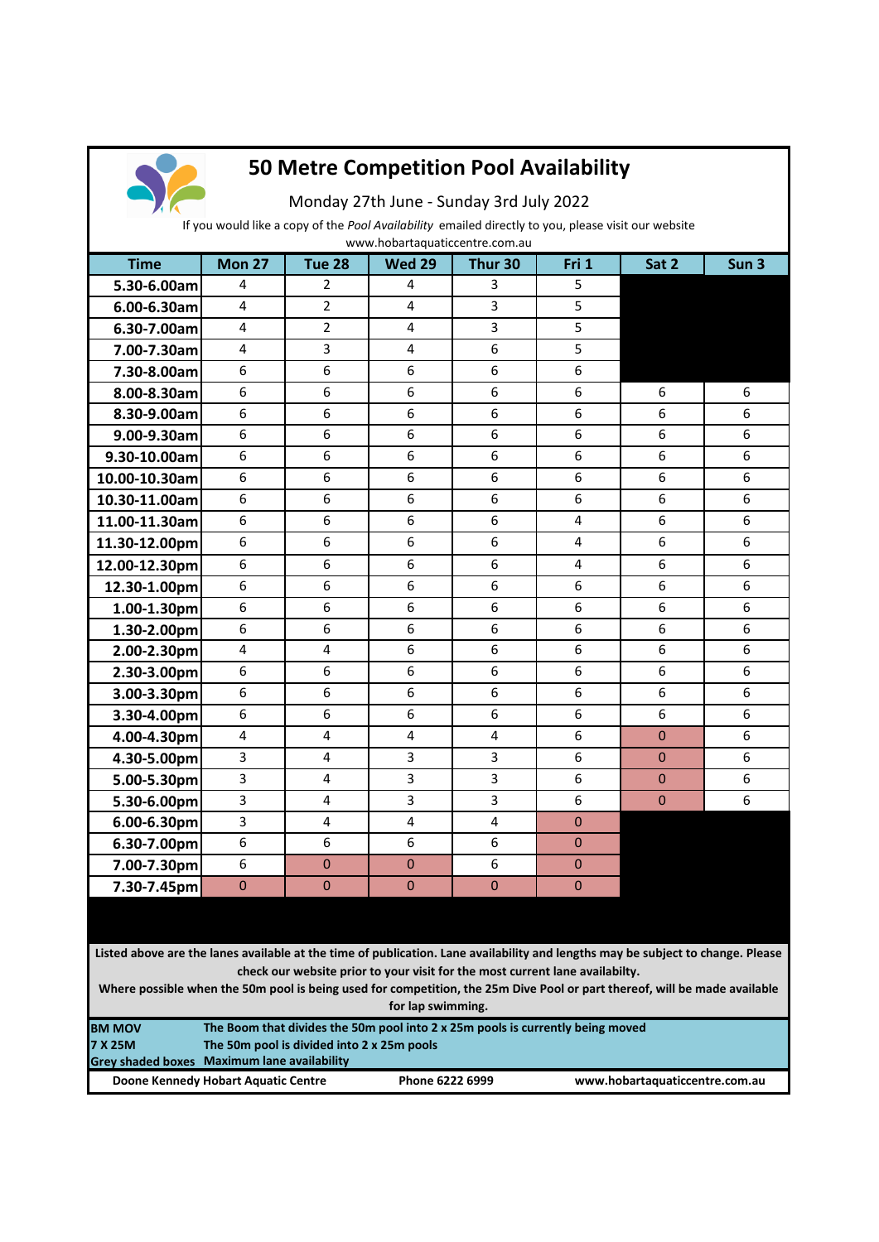

## **50 Metre Competition Pool Availability**

Monday 27th June - Sunday 3rd July 2022

If you would like a copy of the *Pool Availability* emailed directly to you, please visit our website

**Time Mon 27 Tue 28 Wed 29 Thur 30 Fri 1 Sat 2 Sun 3 5.30-6.00am** 4 2 4 4 3 5 **6.00-6.30am** 4 2 4 3 5 **6.30-7.00am** 4 2 4 3 5 **7.00-7.30am** 4 3 4 4 6 5 **7.30-8.00am** 6 6 6 6 6 6 **8.00-8.30am** 6 6 6 6 6 6 6 6 6 6 **8.30-9.00am** 6 6 6 6 6 6 6 6 6 6 **9.00-9.30am** 6 6 6 6 6 6 6 6 6 6 **9.30-10.00am** 6 6 6 6 6 6 6 6 6 **10.00-10.30am** 6 6 6 6 6 6 6 6 6 6 **10.30-11.00am** 6 6 6 6 6 6 6 6 6 6 **11.00-11.30am** 6 6 6 6 6 6 6 4 6 6 **11.30-12.00pm** 6 6 6 6 6 6 6 4 6 6 **12.00-12.30pm** 6 6 6 6 4 6 6 **12.30-1.00pm** 6 6 6 6 6 6 6 6 6 6 **1.00-1.30pm** 6 6 6 6 6 6 6 6 6 **1.30-2.00pm** 6 6 6 6 6 6 6 6 6 6 **2.00-2.30pm** 4 4 4 6 6 6 6 6 6 **2.30-3.00pm** 6 6 6 6 6 6 6 6 6 6 **3.00-3.30pm** 6 6 6 6 6 6 6 6 6 **3.30-4.00pm** 6 6 6 6 6 6 6 6 6 **4.00-4.30pm** 4 4 4 4 4 4 6 0 6 **4.30-5.00pm** 3 4 3 3 3 6 0 6 **5.00-5.30pm** 3 4 3 3 3 6 0 6 **5.30-6.00pm** 3 4 3 3 5 4 3 6 0 6 **6.00-6.30pm** 3 4 4 4 4 0 **6.30-7.00pm** 6 6 6 6 6 6 0 **7.00-7.30pm** 6 0 0 0 6 0 **7.30-7.45pm** 0 0 0 0 0 0 0 www.hobartaquaticcentre.com.au

**Listed above are the lanes available at the time of publication. Lane availability and lengths may be subject to change. Please check our website prior to your visit for the most current lane availabilty.** 

**Where possible when the 50m pool is being used for competition, the 25m Dive Pool or part thereof, will be made available for lap swimming.**

| <b>BM MOV</b> | The Boom that divides the 50m pool into 2 x 25m pools is currently being moved |                 |                                |  |  |
|---------------|--------------------------------------------------------------------------------|-----------------|--------------------------------|--|--|
| 7 X 25M       | The 50m pool is divided into 2 x 25m pools                                     |                 |                                |  |  |
|               | Grey shaded boxes Maximum lane availability                                    |                 |                                |  |  |
|               | Doone Kennedy Hobart Aquatic Centre                                            | Phone 6222 6999 | www.hobartaquaticcentre.com.au |  |  |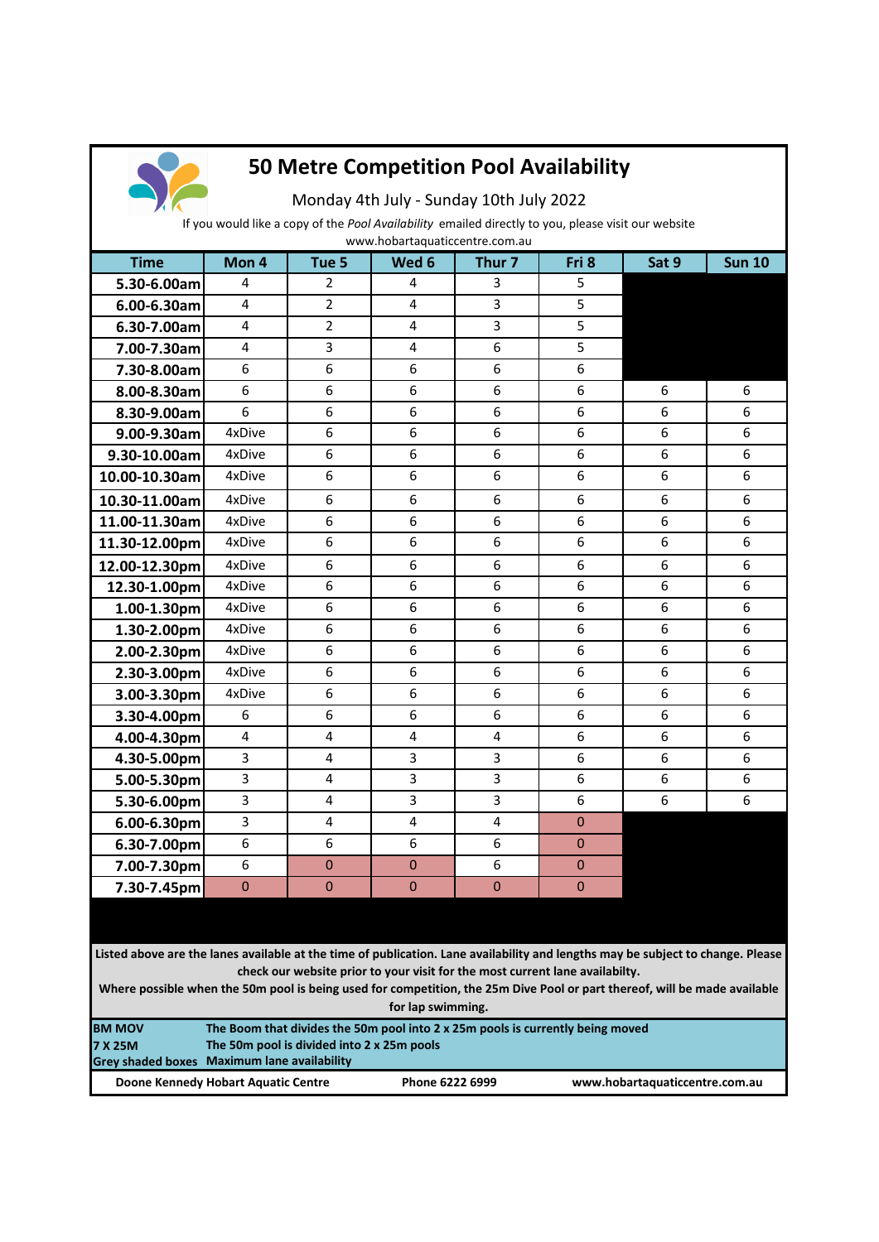

## **50 Metre Competition Pool Availability**

Monday 4th July - Sunday 10th July 2022

If you would like a copy of the *Pool Availability* emailed directly to you, please visit our website

| www.hobartaquaticcentre.com.au |                |                  |                |                   |                |       |               |
|--------------------------------|----------------|------------------|----------------|-------------------|----------------|-------|---------------|
| <b>Time</b>                    | Mon 4          | Tue <sub>5</sub> | Wed 6          | Thur <sub>7</sub> | Fri 8          | Sat 9 | <b>Sun 10</b> |
| 5.30-6.00am                    | 4              | $\overline{2}$   | 4              | 3                 | 5              |       |               |
| 6.00-6.30am                    | 4              | $\overline{2}$   | 4              | 3                 | 5              |       |               |
| 6.30-7.00am                    | 4              | $\overline{2}$   | 4              | 3                 | 5              |       |               |
| 7.00-7.30am                    | $\overline{4}$ | $\overline{3}$   | 4              | 6                 | 5              |       |               |
| 7.30-8.00am                    | 6              | 6                | 6              | 6                 | 6              |       |               |
| 8.00-8.30am                    | 6              | 6                | 6              | 6                 | 6              | 6     | 6             |
| 8.30-9.00am                    | 6              | 6                | 6              | 6                 | 6              | 6     | 6             |
| 9.00-9.30am                    | 4xDive         | 6                | 6              | 6                 | 6              | 6     | 6             |
| 9.30-10.00am                   | 4xDive         | 6                | 6              | 6                 | 6              | 6     | 6             |
| 10.00-10.30am                  | 4xDive         | 6                | 6              | 6                 | 6              | 6     | 6             |
| 10.30-11.00am                  | 4xDive         | 6                | 6              | 6                 | 6              | 6     | 6             |
| 11.00-11.30am                  | 4xDive         | 6                | 6              | 6                 | 6              | 6     | 6             |
| 11.30-12.00pm                  | 4xDive         | 6                | 6              | 6                 | 6              | 6     | 6             |
| 12.00-12.30pm                  | 4xDive         | 6                | 6              | 6                 | 6              | 6     | 6             |
| 12.30-1.00pm                   | 4xDive         | 6                | 6              | 6                 | 6              | 6     | 6             |
| $1.00 - 1.30$ pm               | 4xDive         | 6                | 6              | 6                 | 6              | 6     | 6             |
| $1.30 - 2.00$ pm               | 4xDive         | 6                | 6              | 6                 | 6              | 6     | 6             |
| 2.00-2.30pm                    | 4xDive         | 6                | 6              | 6                 | 6              | 6     | 6             |
| $2.30 - 3.00$ pm               | 4xDive         | 6                | 6              | 6                 | 6              | 6     | 6             |
| 3.00-3.30pm                    | 4xDive         | 6                | 6              | 6                 | 6              | 6     | 6             |
| 3.30-4.00pm                    | 6              | 6                | 6              | 6                 | 6              | 6     | 6             |
| 4.00-4.30pm                    | $\overline{4}$ | $\overline{4}$   | $\overline{4}$ | $\overline{4}$    | 6              | 6     | 6             |
| 4.30-5.00pm                    | 3              | $\overline{4}$   | 3              | 3                 | 6              | 6     | 6             |
| 5.00-5.30pm                    | 3              | $\overline{4}$   | 3              | 3                 | 6              | 6     | 6             |
| 5.30-6.00pm                    | 3              | 4                | 3              | 3                 | 6              | 6     | 6             |
| 6.00-6.30pm                    | 3              | 4                | 4              | 4                 | $\Omega$       |       |               |
| 6.30-7.00pm                    | 6              | 6                | 6              | 6                 | $\mathbf 0$    |       |               |
| 7.00-7.30pm                    | 6              | $\mathbf 0$      | $\mathbf 0$    | 6                 | $\mathbf{0}$   |       |               |
| 7.30-7.45pm                    | $\bf{0}$       | $\mathbf 0$      | $\overline{0}$ | $\mathbf 0$       | $\overline{0}$ |       |               |
|                                |                |                  |                |                   |                |       |               |

**Listed above are the lanes available at the time of publication. Lane availability and lengths may be subject to change. Please check our website prior to your visit for the most current lane availabilty.** 

**Where possible when the 50m pool is being used for competition, the 25m Dive Pool or part thereof, will be made available for lap swimming.**

| <b>BM MOV</b>  | The Boom that divides the 50m pool into 2 x 25m pools is currently being moved |                 |                                |  |  |  |
|----------------|--------------------------------------------------------------------------------|-----------------|--------------------------------|--|--|--|
| <b>7 X 25M</b> | The 50m pool is divided into 2 x 25m pools                                     |                 |                                |  |  |  |
|                | Grey shaded boxes Maximum lane availability                                    |                 |                                |  |  |  |
|                | Doone Kennedy Hobart Aquatic Centre                                            | Phone 6222 6999 | www.hobartaquaticcentre.com.au |  |  |  |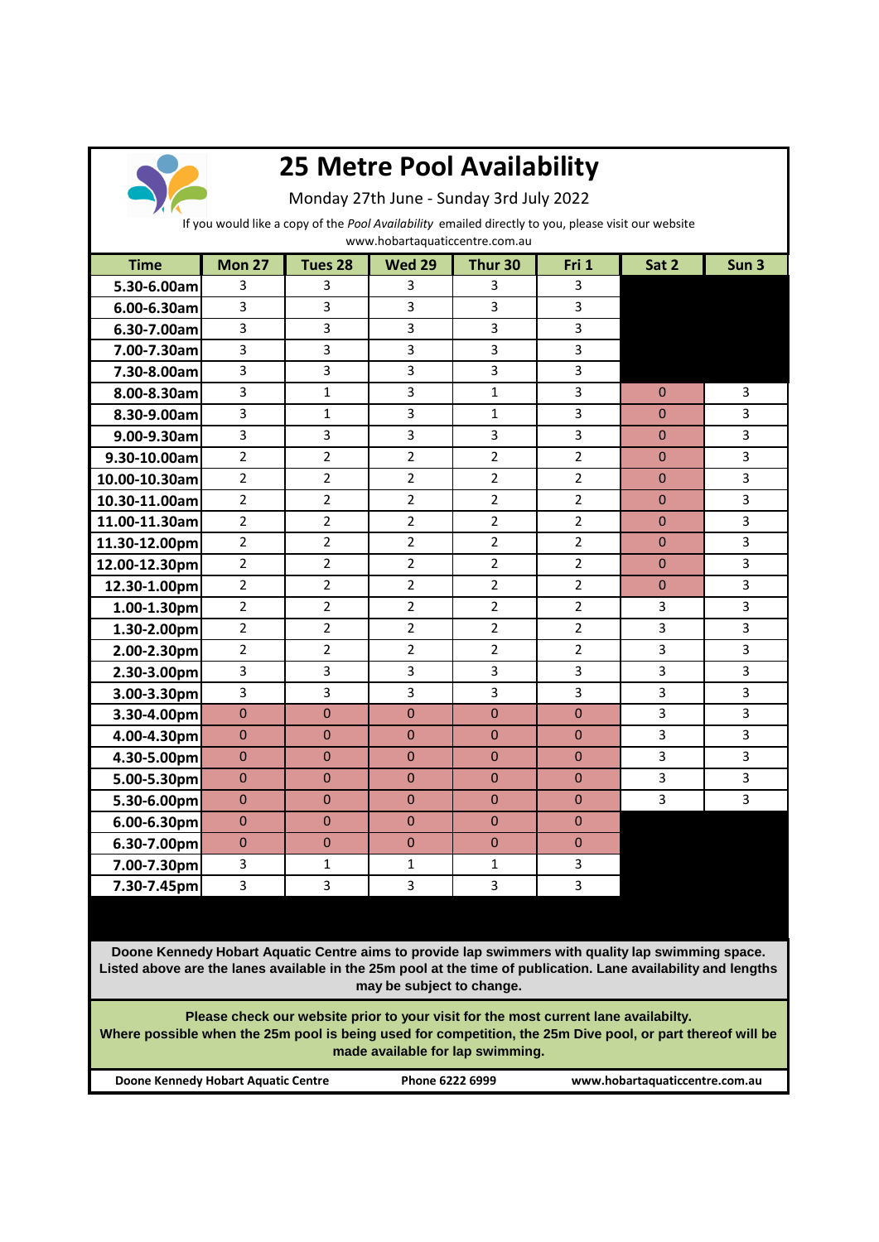

## **25 Metre Pool Availability**

Monday 27th June - Sunday 3rd July 2022

If you would like a copy of the *Pool Availability* emailed directly to you, please visit our website

www.hobartaquaticcentre.com.au

| <b>Time</b>      | <b>Mon 27</b>  | Tues 28        | <b>Wed 29</b>  | Thur 30        | Fri 1          | Sat 2        | Sun <sub>3</sub> |
|------------------|----------------|----------------|----------------|----------------|----------------|--------------|------------------|
| 5.30-6.00am      | 3              | 3              | 3              | 3              | 3              |              |                  |
| $6.00 - 6.30$ am | $\overline{3}$ | $\overline{3}$ | 3              | $\overline{3}$ | 3              |              |                  |
| 6.30-7.00am      | $\overline{3}$ | $\overline{3}$ | 3              | 3              | 3              |              |                  |
| 7.00-7.30am      | 3              | 3              | 3              | $\overline{3}$ | 3              |              |                  |
| 7.30-8.00am      | $\overline{3}$ | $\overline{3}$ | 3              | $\overline{3}$ | $\overline{3}$ |              |                  |
| 8.00-8.30am      | $\overline{3}$ | $\mathbf{1}$   | 3              | $\mathbf{1}$   | 3              | $\Omega$     | 3                |
| 8.30-9.00am      | 3              | $\mathbf{1}$   | 3              | $\mathbf{1}$   | 3              | $\mathbf{0}$ | 3                |
| 9.00-9.30am      | $\overline{3}$ | 3              | 3              | 3              | 3              | $\Omega$     | 3                |
| 9.30-10.00am     | $\overline{2}$ | $\overline{2}$ | $\overline{2}$ | $\overline{2}$ | $\overline{2}$ | $\mathbf{0}$ | 3                |
| 10.00-10.30am    | $\overline{2}$ | $\overline{2}$ | $\overline{2}$ | $\overline{2}$ | $\overline{2}$ | $\Omega$     | 3                |
| 10.30-11.00am    | $\overline{2}$ | $\overline{2}$ | $\overline{2}$ | $\overline{2}$ | $\overline{2}$ | $\mathbf 0$  | 3                |
| 11.00-11.30am    | $\overline{2}$ | $\overline{2}$ | $\overline{2}$ | $\overline{2}$ | $\overline{2}$ | $\Omega$     | 3                |
| 11.30-12.00pm    | $\overline{2}$ | $\overline{2}$ | $\overline{2}$ | $\overline{2}$ | $\overline{2}$ | $\Omega$     | 3                |
| 12.00-12.30pm    | $\overline{2}$ | $\overline{2}$ | $\overline{2}$ | $\overline{2}$ | $\overline{2}$ | $\mathbf{0}$ | 3                |
| 12.30-1.00pm     | $\overline{2}$ | $\overline{2}$ | $\overline{2}$ | $\overline{2}$ | $\overline{2}$ | $\Omega$     | 3                |
| 1.00-1.30pm      | $\overline{2}$ | $\overline{2}$ | $\overline{2}$ | $\overline{2}$ | $\overline{2}$ | 3            | 3                |
| 1.30-2.00pm      | $\overline{2}$ | $\overline{2}$ | $\overline{2}$ | $\overline{2}$ | $\overline{2}$ | 3            | 3                |
| 2.00-2.30pm      | $\overline{2}$ | $\overline{2}$ | $\overline{2}$ | $\overline{2}$ | $\overline{2}$ | 3            | 3                |
| $2.30 - 3.00$ pm | $\overline{3}$ | 3              | 3              | 3              | 3              | 3            | 3                |
| 3.00-3.30pm      | 3              | 3              | 3              | 3              | 3              | 3            | 3                |
| 3.30-4.00pm      | $\mathbf{0}$   | $\overline{0}$ | $\mathbf 0$    | $\mathbf 0$    | $\mathbf 0$    | 3            | $\overline{3}$   |
| 4.00-4.30pm      | $\Omega$       | $\Omega$       | $\Omega$       | $\Omega$       | $\Omega$       | 3            | 3                |
| 4.30-5.00pm      | $\Omega$       | $\Omega$       | $\Omega$       | $\mathbf{0}$   | $\mathbf 0$    | 3            | 3                |
| 5.00-5.30pm      | $\mathbf{0}$   | $\Omega$       | $\mathbf{0}$   | $\mathbf{0}$   | $\mathbf{0}$   | 3            | 3                |
| 5.30-6.00pm      | $\mathbf{0}$   | $\mathbf 0$    | $\mathbf{0}$   | $\mathbf 0$    | $\pmb{0}$      | 3            | 3                |
| $6.00 - 6.30$ pm | $\mathbf{0}$   | $\Omega$       | $\Omega$       | $\Omega$       | $\mathbf 0$    |              |                  |
| 6.30-7.00pm      | $\mathbf{0}$   | $\Omega$       | $\mathbf 0$    | $\Omega$       | $\mathbf 0$    |              |                  |
| 7.00-7.30pm      | $\overline{3}$ | $\mathbf{1}$   | $\mathbf{1}$   | $\mathbf{1}$   | 3              |              |                  |
| 7.30-7.45pm      | $\overline{3}$ | 3              | 3              | 3              | 3              |              |                  |

3 **Doone Kennedy Hobart Aquatic Centre aims to provide lap swimmers with quality lap swimming space. Listed above are the lanes available in the 25m pool at the time of publication. Lane availability and lengths may be subject to change.**

**Please check our website prior to your visit for the most current lane availabilty. Where possible when the 25m pool is being used for competition, the 25m Dive pool, or part thereof will be made available for lap swimming.**

**Doone Kennedy Hobart Aquatic Centre Phone 6222 6999 www.hobartaquaticcentre.com.au**